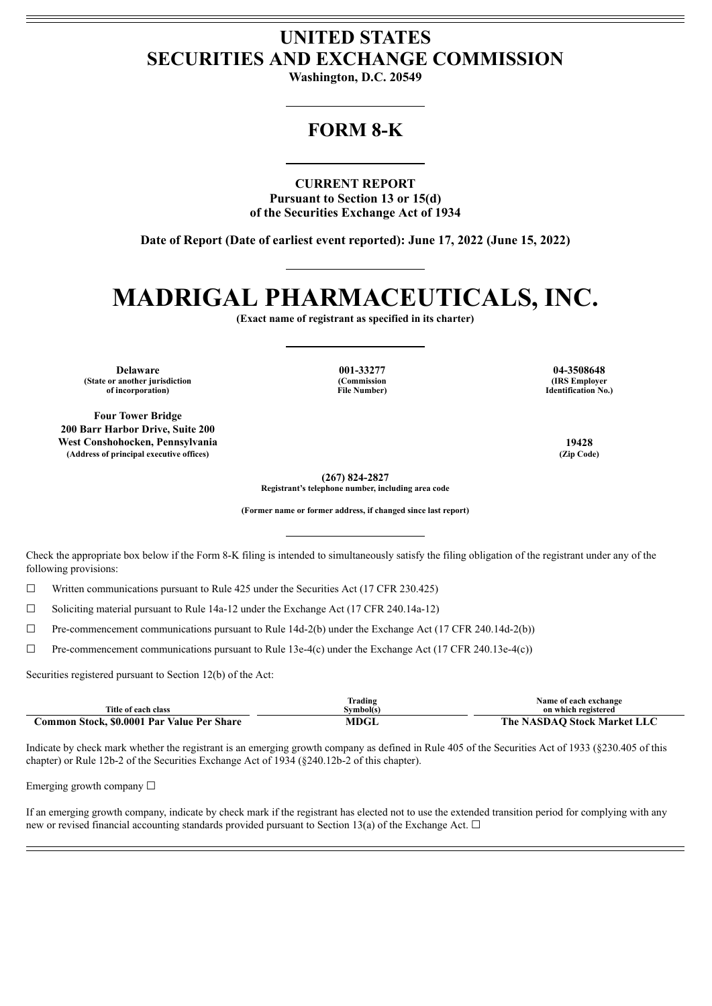## **UNITED STATES SECURITIES AND EXCHANGE COMMISSION**

**Washington, D.C. 20549**

## **FORM 8-K**

**CURRENT REPORT Pursuant to Section 13 or 15(d) of the Securities Exchange Act of 1934**

**Date of Report (Date of earliest event reported): June 17, 2022 (June 15, 2022)**

# **MADRIGAL PHARMACEUTICALS, INC.**

**(Exact name of registrant as specified in its charter)**

**Delaware 001-33277 04-3508648 (State or another jurisdiction of incorporation)**

**Four Tower Bridge 200 Barr Harbor Drive, Suite 200 West Conshohocken, Pennsylvania 19428 (Address of principal executive offices) (Zip Code)**

**(Commission File Number)**

**(IRS Employer Identification No.)**

**(267) 824-2827**

**Registrant's telephone number, including area code**

**(Former name or former address, if changed since last report)**

Check the appropriate box below if the Form 8-K filing is intended to simultaneously satisfy the filing obligation of the registrant under any of the following provisions:

☐ Written communications pursuant to Rule 425 under the Securities Act (17 CFR 230.425)

 $\Box$  Soliciting material pursuant to Rule 14a-12 under the Exchange Act (17 CFR 240.14a-12)

 $\Box$  Pre-commencement communications pursuant to Rule 14d-2(b) under the Exchange Act (17 CFR 240.14d-2(b))

☐ Pre-commencement communications pursuant to Rule 13e-4(c) under the Exchange Act (17 CFR 240.13e-4(c))

Securities registered pursuant to Section 12(b) of the Act:

| Title of each class                        | lrading<br>Symbol(s) | Name of each exchange<br>on which registered |
|--------------------------------------------|----------------------|----------------------------------------------|
|                                            |                      |                                              |
| Common Stock. \$0.0001 Par Value Per Share | <b>MDGL</b>          | The NASDAO Stock Market LLC                  |

Indicate by check mark whether the registrant is an emerging growth company as defined in Rule 405 of the Securities Act of 1933 (§230.405 of this chapter) or Rule 12b-2 of the Securities Exchange Act of 1934 (§240.12b-2 of this chapter).

Emerging growth company  $\Box$ 

If an emerging growth company, indicate by check mark if the registrant has elected not to use the extended transition period for complying with any new or revised financial accounting standards provided pursuant to Section 13(a) of the Exchange Act.  $\Box$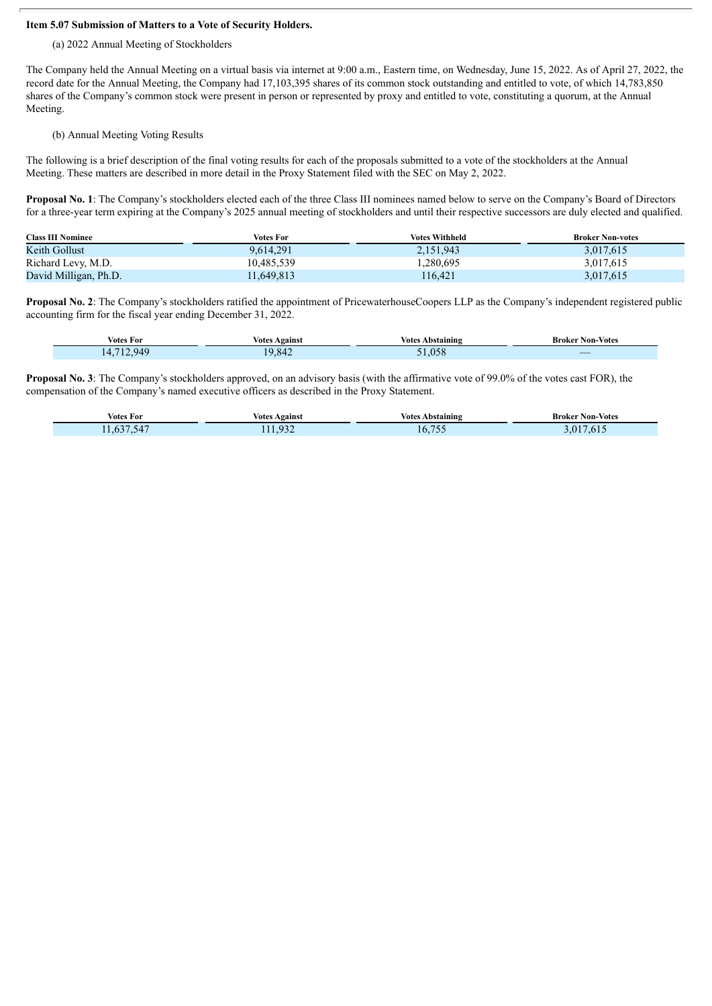#### **Item 5.07 Submission of Matters to a Vote of Security Holders.**

(a) 2022 Annual Meeting of Stockholders

The Company held the Annual Meeting on a virtual basis via internet at 9:00 a.m., Eastern time, on Wednesday, June 15, 2022. As of April 27, 2022, the record date for the Annual Meeting, the Company had 17,103,395 shares of its common stock outstanding and entitled to vote, of which 14,783,850 shares of the Company's common stock were present in person or represented by proxy and entitled to vote, constituting a quorum, at the Annual Meeting.

#### (b) Annual Meeting Voting Results

The following is a brief description of the final voting results for each of the proposals submitted to a vote of the stockholders at the Annual Meeting. These matters are described in more detail in the Proxy Statement filed with the SEC on May 2, 2022.

**Proposal No. 1**: The Company's stockholders elected each of the three Class III nominees named below to serve on the Company's Board of Directors for a three-year term expiring at the Company's 2025 annual meeting of stockholders and until their respective successors are duly elected and qualified.

| <b>Class III Nominee</b> | Votes For  | <b>Votes Withheld</b> | <b>Broker Non-votes</b> |
|--------------------------|------------|-----------------------|-------------------------|
| Keith Gollust            | 9.614.291  | 2,151,943             | 3,017,615               |
| Richard Levy, M.D.       | 10,485,539 | .280,695              | 3,017,615               |
| David Milligan, Ph.D.    | 11,649,813 | 116.421               | 3,017,615               |

**Proposal No. 2**: The Company's stockholders ratified the appointment of PricewaterhouseCoopers LLP as the Company's independent registered public accounting firm for the fiscal year ending December 31, 2022.

| . .               | Against    | votes           | Broker           |
|-------------------|------------|-----------------|------------------|
| Votes For         | Votes      | Abstaining      | <b>Non-Votes</b> |
| $-44$<br>14.<br>. | ۱۵<br>.842 | 05 <sup>6</sup> |                  |

**Proposal No. 3**: The Company's stockholders approved, on an advisory basis (with the affirmative vote of 99.0% of the votes cast FOR), the compensation of the Company's named executive officers as described in the Proxy Statement.

| $\sim$<br>$  -$<br>Votes For                 | . .<br>Against<br>Votes    | ⁄otes<br>Abstaining | <b>Broker Non-Votes</b> |
|----------------------------------------------|----------------------------|---------------------|-------------------------|
| $-0.000$<br>$\sim$ $\sim$<br>h i<br>$\Delta$ | 03 <sup>o</sup><br>111.734 | $\pi$ r c<br>.      | $\mathbf{u}$<br>.613    |